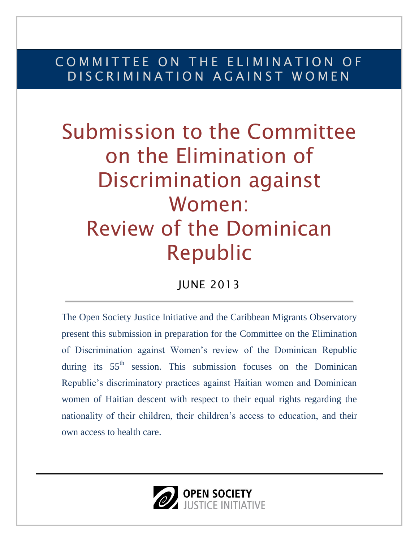### COMMITTEE ON THE ELIMINATION OF D IS C R I M I N A T I O N A G A I N S T W O M E N

# Submission to the Committee on the Elimination of Discrimination against Women: Review of the Dominican Republic

### JUNE 2013

The Open Society Justice Initiative and the Caribbean Migrants Observatory present this submission in preparation for the Committee on the Elimination of Discrimination against Women's review of the Dominican Republic during its  $55<sup>th</sup>$  session. This submission focuses on the Dominican Republic's discriminatory practices against Haitian women and Dominican women of Haitian descent with respect to their equal rights regarding the nationality of their children, their children's access to education, and their own access to health care.

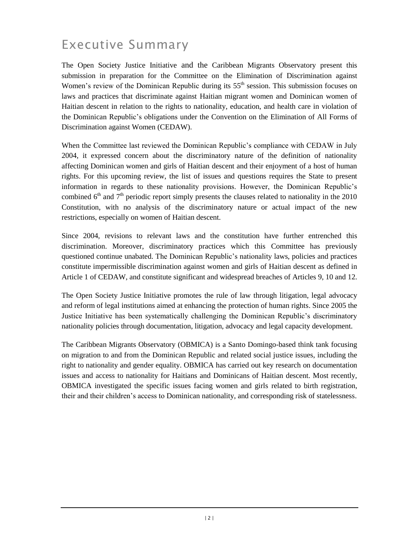### Executive Summary

The Open Society Justice Initiative and the Caribbean Migrants Observatory present this submission in preparation for the Committee on the Elimination of Discrimination against Women's review of the Dominican Republic during its  $55<sup>th</sup>$  session. This submission focuses on laws and practices that discriminate against Haitian migrant women and Dominican women of Haitian descent in relation to the rights to nationality, education, and health care in violation of the Dominican Republic's obligations under the Convention on the Elimination of All Forms of Discrimination against Women (CEDAW).

When the Committee last reviewed the Dominican Republic's compliance with CEDAW in July 2004, it expressed concern about the discriminatory nature of the definition of nationality affecting Dominican women and girls of Haitian descent and their enjoyment of a host of human rights. For this upcoming review, the list of issues and questions requires the State to present information in regards to these nationality provisions. However, the Dominican Republic's combined  $6<sup>th</sup>$  and  $7<sup>th</sup>$  periodic report simply presents the clauses related to nationality in the 2010 Constitution, with no analysis of the discriminatory nature or actual impact of the new restrictions, especially on women of Haitian descent.

Since 2004, revisions to relevant laws and the constitution have further entrenched this discrimination. Moreover, discriminatory practices which this Committee has previously questioned continue unabated. The Dominican Republic's nationality laws, policies and practices constitute impermissible discrimination against women and girls of Haitian descent as defined in Article 1 of CEDAW, and constitute significant and widespread breaches of Articles 9, 10 and 12.

The Open Society Justice Initiative promotes the rule of law through litigation, legal advocacy and reform of legal institutions aimed at enhancing the protection of human rights. Since 2005 the Justice Initiative has been systematically challenging the Dominican Republic's discriminatory nationality policies through documentation, litigation, advocacy and legal capacity development.

The Caribbean Migrants Observatory (OBMICA) is a Santo Domingo-based think tank focusing on migration to and from the Dominican Republic and related social justice issues, including the right to nationality and gender equality. OBMICA has carried out key research on documentation issues and access to nationality for Haitians and Dominicans of Haitian descent. Most recently, OBMICA investigated the specific issues facing women and girls related to birth registration, their and their children's access to Dominican nationality, and corresponding risk of statelessness.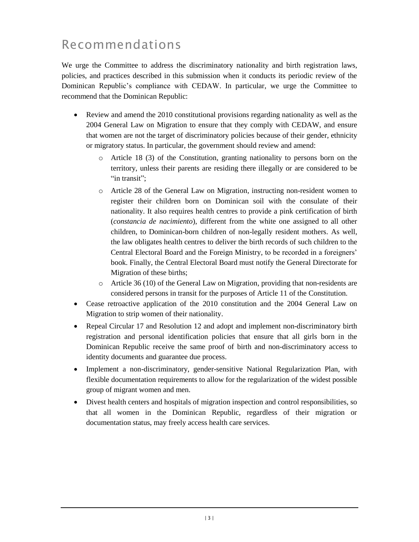### Recommendations

We urge the Committee to address the discriminatory nationality and birth registration laws, policies, and practices described in this submission when it conducts its periodic review of the Dominican Republic's compliance with CEDAW. In particular, we urge the Committee to recommend that the Dominican Republic:

- Review and amend the 2010 constitutional provisions regarding nationality as well as the 2004 General Law on Migration to ensure that they comply with CEDAW, and ensure that women are not the target of discriminatory policies because of their gender, ethnicity or migratory status. In particular, the government should review and amend:
	- o Article 18 (3) of the Constitution, granting nationality to persons born on the territory, unless their parents are residing there illegally or are considered to be "in transit":
	- o Article 28 of the General Law on Migration, instructing non-resident women to register their children born on Dominican soil with the consulate of their nationality. It also requires health centres to provide a pink certification of birth (*constancia de nacimiento*), different from the white one assigned to all other children, to Dominican-born children of non-legally resident mothers. As well, the law obligates health centres to deliver the birth records of such children to the Central Electoral Board and the Foreign Ministry, to be recorded in a foreigners' book. Finally, the Central Electoral Board must notify the General Directorate for Migration of these births;
	- $\circ$  Article 36 (10) of the General Law on Migration, providing that non-residents are considered persons in transit for the purposes of Article 11 of the Constitution.
- Cease retroactive application of the 2010 constitution and the 2004 General Law on Migration to strip women of their nationality.
- Repeal Circular 17 and Resolution 12 and adopt and implement non-discriminatory birth registration and personal identification policies that ensure that all girls born in the Dominican Republic receive the same proof of birth and non-discriminatory access to identity documents and guarantee due process.
- Implement a non-discriminatory, gender-sensitive National Regularization Plan, with flexible documentation requirements to allow for the regularization of the widest possible group of migrant women and men.
- Divest health centers and hospitals of migration inspection and control responsibilities, so that all women in the Dominican Republic, regardless of their migration or documentation status, may freely access health care services.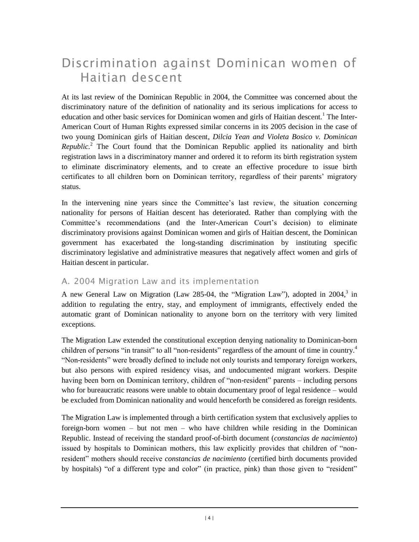### Discrimination against Dominican women of Haitian descent

At its last review of the Dominican Republic in 2004, the Committee was concerned about the discriminatory nature of the definition of nationality and its serious implications for access to education and other basic services for Dominican women and girls of Haitian descent.<sup>1</sup> The Inter-American Court of Human Rights expressed similar concerns in its 2005 decision in the case of two young Dominican girls of Haitian descent, *Dilcia Yean and Violeta Bosico v. Dominican Republic.* <sup>2</sup> The Court found that the Dominican Republic applied its nationality and birth registration laws in a discriminatory manner and ordered it to reform its birth registration system to eliminate discriminatory elements, and to create an effective procedure to issue birth certificates to all children born on Dominican territory, regardless of their parents' migratory status.

In the intervening nine years since the Committee's last review, the situation concerning nationality for persons of Haitian descent has deteriorated. Rather than complying with the Committee's recommendations (and the Inter-American Court's decision) to eliminate discriminatory provisions against Dominican women and girls of Haitian descent, the Dominican government has exacerbated the long-standing discrimination by instituting specific discriminatory legislative and administrative measures that negatively affect women and girls of Haitian descent in particular.

#### A. 2004 Migration Law and its implementation

A new General Law on Migration (Law 285-04, the "Migration Law"), adopted in 2004, $3$  in addition to regulating the entry, stay, and employment of immigrants, effectively ended the automatic grant of Dominican nationality to anyone born on the territory with very limited exceptions.

The Migration Law extended the constitutional exception denying nationality to Dominican-born children of persons "in transit" to all "non-residents" regardless of the amount of time in country.<sup>4</sup> "Non-residents" were broadly defined to include not only tourists and temporary foreign workers, but also persons with expired residency visas, and undocumented migrant workers. Despite having been born on Dominican territory, children of "non-resident" parents – including persons who for bureaucratic reasons were unable to obtain documentary proof of legal residence – would be excluded from Dominican nationality and would henceforth be considered as foreign residents.

The Migration Law is implemented through a birth certification system that exclusively applies to foreign-born women – but not men – who have children while residing in the Dominican Republic. Instead of receiving the standard proof-of-birth document (*constancias de nacimiento*) issued by hospitals to Dominican mothers, this law explicitly provides that children of "nonresident" mothers should receive *constancias de nacimiento* (certified birth documents provided by hospitals) "of a different type and color" (in practice, pink) than those given to "resident"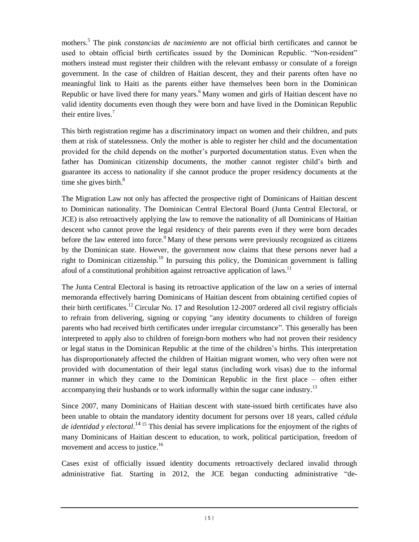mothers.<sup>5</sup> The pink *constancias de nacimiento* are not official birth certificates and cannot be used to obtain official birth certificates issued by the Dominican Republic. "Non-resident" mothers instead must register their children with the relevant embassy or consulate of a foreign government. In the case of children of Haitian descent, they and their parents often have no meaningful link to Haiti as the parents either have themselves been born in the Dominican Republic or have lived there for many years.<sup>6</sup> Many women and girls of Haitian descent have no valid identity documents even though they were born and have lived in the Dominican Republic their entire lives.<sup>7</sup>

This birth registration regime has a discriminatory impact on women and their children, and puts them at risk of statelessness. Only the mother is able to register her child and the documentation provided for the child depends on the mother's purported documentation status. Even when the father has Dominican citizenship documents, the mother cannot register child's birth and guarantee its access to nationality if she cannot produce the proper residency documents at the time she gives birth. $8$ 

The Migration Law not only has affected the prospective right of Dominicans of Haitian descent to Dominican nationality. The Dominican Central Electoral Board (Junta Central Electoral, or JCE) is also retroactively applying the law to remove the nationality of all Dominicans of Haitian descent who cannot prove the legal residency of their parents even if they were born decades before the law entered into force.<sup>9</sup> Many of these persons were previously recognized as citizens by the Dominican state. However, the government now claims that these persons never had a right to Dominican citizenship.<sup>10</sup> In pursuing this policy, the Dominican government is falling afoul of a constitutional prohibition against retroactive application of laws.<sup>11</sup>

The Junta Central Electoral is basing its retroactive application of the law on a series of internal memoranda effectively barring Dominicans of Haitian descent from obtaining certified copies of their birth certificates.<sup>12</sup> Circular No. 17 and Resolution 12-2007 ordered all civil registry officials to refrain from delivering, signing or copying "any identity documents to children of foreign parents who had received birth certificates under irregular circumstance". This generally has been interpreted to apply also to children of foreign-born mothers who had not proven their residency or legal status in the Dominican Republic at the time of the children's births. This interpretation has disproportionately affected the children of Haitian migrant women, who very often were not provided with documentation of their legal status (including work visas) due to the informal manner in which they came to the Dominican Republic in the first place – often either accompanying their husbands or to work informally within the sugar cane industry.<sup>13</sup>

Since 2007, many Dominicans of Haitian descent with state-issued birth certificates have also been unable to obtain the mandatory identity document for persons over 18 years, called *cédula de identidad y electoral*. <sup>14</sup> <sup>15</sup> This denial has severe implications for the enjoyment of the rights of many Dominicans of Haitian descent to education, to work, political participation, freedom of movement and access to justice.<sup>16</sup>

Cases exist of officially issued identity documents retroactively declared invalid through administrative fiat. Starting in 2012, the JCE began conducting administrative "de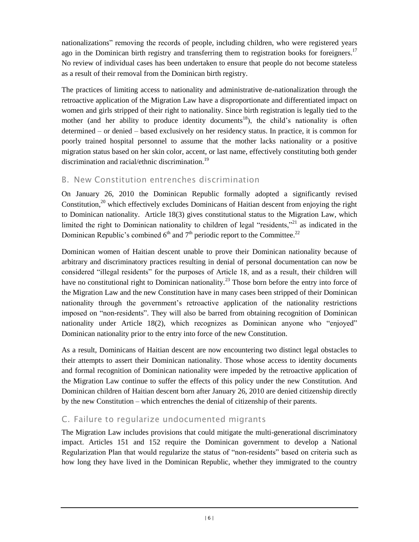nationalizations" removing the records of people, including children, who were registered years ago in the Dominican birth registry and transferring them to registration books for foreigners.<sup>17</sup> No review of individual cases has been undertaken to ensure that people do not become stateless as a result of their removal from the Dominican birth registry.

The practices of limiting access to nationality and administrative de-nationalization through the retroactive application of the Migration Law have a disproportionate and differentiated impact on women and girls stripped of their right to nationality. Since birth registration is legally tied to the mother (and her ability to produce identity documents<sup>18</sup>), the child's nationality is often determined – or denied – based exclusively on her residency status. In practice, it is common for poorly trained hospital personnel to assume that the mother lacks nationality or a positive migration status based on her skin color, accent, or last name, effectively constituting both gender discrimination and racial/ethnic discrimination.<sup>19</sup>

#### B. New Constitution entrenches discrimination

On January 26, 2010 the Dominican Republic formally adopted a significantly revised Constitution, $20$  which effectively excludes Dominicans of Haitian descent from enjoying the right to Dominican nationality. Article 18(3) gives constitutional status to the Migration Law, which limited the right to Dominican nationality to children of legal "residents,"<sup>21</sup> as indicated in the Dominican Republic's combined  $6<sup>th</sup>$  and  $7<sup>th</sup>$  periodic report to the Committee.<sup>22</sup>

Dominican women of Haitian descent unable to prove their Dominican nationality because of arbitrary and discriminatory practices resulting in denial of personal documentation can now be considered "illegal residents" for the purposes of Article 18, and as a result, their children will have no constitutional right to Dominican nationality.<sup>23</sup> Those born before the entry into force of the Migration Law and the new Constitution have in many cases been stripped of their Dominican nationality through the government's retroactive application of the nationality restrictions imposed on "non-residents". They will also be barred from obtaining recognition of Dominican nationality under Article 18(2), which recognizes as Dominican anyone who "enjoyed" Dominican nationality prior to the entry into force of the new Constitution.

As a result, Dominicans of Haitian descent are now encountering two distinct legal obstacles to their attempts to assert their Dominican nationality. Those whose access to identity documents and formal recognition of Dominican nationality were impeded by the retroactive application of the Migration Law continue to suffer the effects of this policy under the new Constitution. And Dominican children of Haitian descent born after January 26, 2010 are denied citizenship directly by the new Constitution – which entrenches the denial of citizenship of their parents.

#### C. Failure to regularize undocumented migrants

The Migration Law includes provisions that could mitigate the multi-generational discriminatory impact. Articles 151 and 152 require the Dominican government to develop a National Regularization Plan that would regularize the status of "non-residents" based on criteria such as how long they have lived in the Dominican Republic, whether they immigrated to the country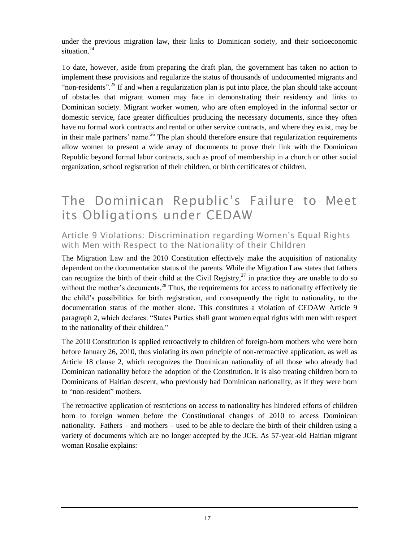under the previous migration law, their links to Dominican society, and their socioeconomic situation. $24$ 

To date, however, aside from preparing the draft plan, the government has taken no action to implement these provisions and regularize the status of thousands of undocumented migrants and "non-residents"<sup>25</sup>. If and when a regularization plan is put into place, the plan should take account of obstacles that migrant women may face in demonstrating their residency and links to Dominican society. Migrant worker women, who are often employed in the informal sector or domestic service, face greater difficulties producing the necessary documents, since they often have no formal work contracts and rental or other service contracts, and where they exist, may be in their male partners' name.<sup>26</sup> The plan should therefore ensure that regularization requirements allow women to present a wide array of documents to prove their link with the Dominican Republic beyond formal labor contracts, such as proof of membership in a church or other social organization, school registration of their children, or birth certificates of children.

### The Dominican Republic's Failure to Meet its Obligations under CEDAW

Article 9 Violations: Discrimination regarding Women's Equal Rights with Men with Respect to the Nationality of their Children

The Migration Law and the 2010 Constitution effectively make the acquisition of nationality dependent on the documentation status of the parents. While the Migration Law states that fathers can recognize the birth of their child at the Civil Registry,<sup>27</sup> in practice they are unable to do so without the mother's documents.<sup>28</sup> Thus, the requirements for access to nationality effectively tie the child's possibilities for birth registration, and consequently the right to nationality, to the documentation status of the mother alone. This constitutes a violation of CEDAW Article 9 paragraph 2, which declares: "States Parties shall grant women equal rights with men with respect to the nationality of their children."

The 2010 Constitution is applied retroactively to children of foreign-born mothers who were born before January 26, 2010, thus violating its own principle of non-retroactive application, as well as Article 18 clause 2, which recognizes the Dominican nationality of all those who already had Dominican nationality before the adoption of the Constitution. It is also treating children born to Dominicans of Haitian descent, who previously had Dominican nationality, as if they were born to "non-resident" mothers.

The retroactive application of restrictions on access to nationality has hindered efforts of children born to foreign women before the Constitutional changes of 2010 to access Dominican nationality. Fathers – and mothers – used to be able to declare the birth of their children using a variety of documents which are no longer accepted by the JCE. As 57-year-old Haitian migrant woman Rosalie explains: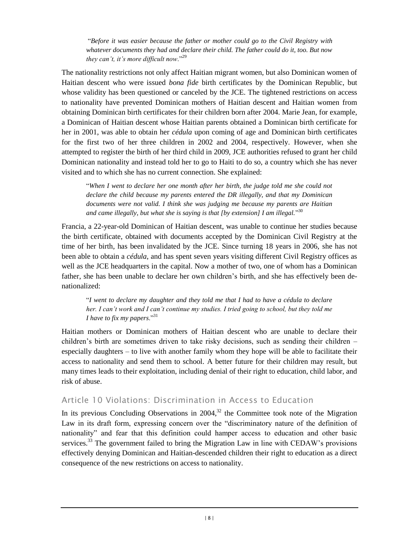"*Before it was easier because the father or mother could go to the Civil Registry with whatever documents they had and declare their child. The father could do it, too. But now they can't, it's more difficult now*."<sup>29</sup>

The nationality restrictions not only affect Haitian migrant women, but also Dominican women of Haitian descent who were issued *bona fide* birth certificates by the Dominican Republic, but whose validity has been questioned or canceled by the JCE. The tightened restrictions on access to nationality have prevented Dominican mothers of Haitian descent and Haitian women from obtaining Dominican birth certificates for their children born after 2004. Marie Jean, for example, a Dominican of Haitian descent whose Haitian parents obtained a Dominican birth certificate for her in 2001, was able to obtain her *cédula* upon coming of age and Dominican birth certificates for the first two of her three children in 2002 and 2004, respectively. However, when she attempted to register the birth of her third child in 2009, JCE authorities refused to grant her child Dominican nationality and instead told her to go to Haiti to do so, a country which she has never visited and to which she has no current connection. She explained:

"*When I went to declare her one month after her birth, the judge told me she could not declare the child because my parents entered the DR illegally, and that my Dominican documents were not valid. I think she was judging me because my parents are Haitian and came illegally, but what she is saying is that [by extension] I am illegal.*" 30

Francia, a 22-year-old Dominican of Haitian descent, was unable to continue her studies because the birth certificate, obtained with documents accepted by the Dominican Civil Registry at the time of her birth, has been invalidated by the JCE. Since turning 18 years in 2006, she has not been able to obtain a *cédula*, and has spent seven years visiting different Civil Registry offices as well as the JCE headquarters in the capital. Now a mother of two, one of whom has a Dominican father, she has been unable to declare her own children's birth, and she has effectively been denationalized:

"*I went to declare my daughter and they told me that I had to have a cédula to declare her. I can't work and I can't continue my studies. I tried going to school, but they told me I have to fix my papers.*"<sup>31</sup>

Haitian mothers or Dominican mothers of Haitian descent who are unable to declare their children's birth are sometimes driven to take risky decisions, such as sending their children – especially daughters – to live with another family whom they hope will be able to facilitate their access to nationality and send them to school. A better future for their children may result, but many times leads to their exploitation, including denial of their right to education, child labor, and risk of abuse.

#### Article 10 Violations: Discrimination in Access to Education

In its previous Concluding Observations in  $2004$ ,<sup>32</sup> the Committee took note of the Migration Law in its draft form, expressing concern over the "discriminatory nature of the definition of nationality" and fear that this definition could hamper access to education and other basic services.<sup>33</sup> The government failed to bring the Migration Law in line with CEDAW's provisions effectively denying Dominican and Haitian-descended children their right to education as a direct consequence of the new restrictions on access to nationality.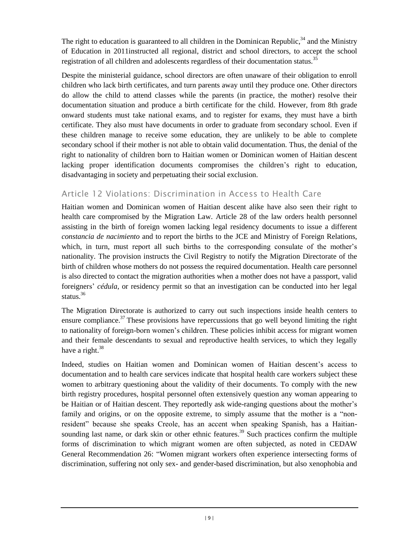The right to education is guaranteed to all children in the Dominican Republic, $34$  and the Ministry of Education in 2011instructed all regional, district and school directors, to accept the school registration of all children and adolescents regardless of their documentation status.<sup>35</sup>

Despite the ministerial guidance, school directors are often unaware of their obligation to enroll children who lack birth certificates, and turn parents away until they produce one. Other directors do allow the child to attend classes while the parents (in practice, the mother) resolve their documentation situation and produce a birth certificate for the child. However, from 8th grade onward students must take national exams, and to register for exams, they must have a birth certificate. They also must have documents in order to graduate from secondary school. Even if these children manage to receive some education, they are unlikely to be able to complete secondary school if their mother is not able to obtain valid documentation. Thus, the denial of the right to nationality of children born to Haitian women or Dominican women of Haitian descent lacking proper identification documents compromises the children's right to education, disadvantaging in society and perpetuating their social exclusion.

#### Article 12 Violations: Discrimination in Access to Health Care

Haitian women and Dominican women of Haitian descent alike have also seen their right to health care compromised by the Migration Law. Article 28 of the law orders health personnel assisting in the birth of foreign women lacking legal residency documents to issue a different *constancia de nacimiento* and to report the births to the JCE and Ministry of Foreign Relations, which, in turn, must report all such births to the corresponding consulate of the mother's nationality. The provision instructs the Civil Registry to notify the Migration Directorate of the birth of children whose mothers do not possess the required documentation. Health care personnel is also directed to contact the migration authorities when a mother does not have a passport, valid foreigners' *cédula*, or residency permit so that an investigation can be conducted into her legal status. $36$ 

The Migration Directorate is authorized to carry out such inspections inside health centers to ensure compliance.<sup>37</sup> These provisions have repercussions that go well beyond limiting the right to nationality of foreign-born women's children. These policies inhibit access for migrant women and their female descendants to sexual and reproductive health services, to which they legally have a right. $38$ 

Indeed, studies on Haitian women and Dominican women of Haitian descent's access to documentation and to health care services indicate that hospital health care workers subject these women to arbitrary questioning about the validity of their documents. To comply with the new birth registry procedures, hospital personnel often extensively question any woman appearing to be Haitian or of Haitian descent. They reportedly ask wide-ranging questions about the mother's family and origins, or on the opposite extreme, to simply assume that the mother is a "nonresident" because she speaks Creole, has an accent when speaking Spanish, has a Haitiansounding last name, or dark skin or other ethnic features.<sup>39</sup> Such practices confirm the multiple forms of discrimination to which migrant women are often subjected, as noted in CEDAW General Recommendation 26: "Women migrant workers often experience intersecting forms of discrimination, suffering not only sex- and gender-based discrimination, but also xenophobia and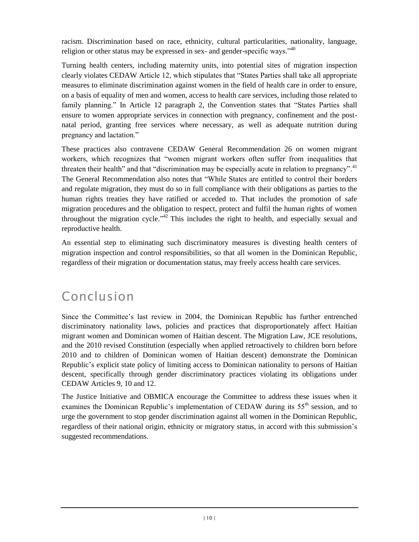racism. Discrimination based on race, ethnicity, cultural particularities, nationality, language, religion or other status may be expressed in sex- and gender-specific ways.<sup> $40$ </sup>

Turning health centers, including maternity units, into potential sites of migration inspection clearly violates CEDAW Article 12, which stipulates that "States Parties shall take all appropriate measures to eliminate discrimination against women in the field of health care in order to ensure, on a basis of equality of men and women, access to health care services, including those related to family planning." In Article 12 paragraph 2, the Convention states that "States Parties shall ensure to women appropriate services in connection with pregnancy, confinement and the postnatal period, granting free services where necessary, as well as adequate nutrition during pregnancy and lactation."

These practices also contravene CEDAW General Recommendation 26 on women migrant workers, which recognizes that "women migrant workers often suffer from inequalities that threaten their health" and that "discrimination may be especially acute in relation to pregnancy".<sup>41</sup> The General Recommendation also notes that "While States are entitled to control their borders and regulate migration, they must do so in full compliance with their obligations as parties to the human rights treaties they have ratified or acceded to. That includes the promotion of safe migration procedures and the obligation to respect, protect and fulfil the human rights of women throughout the migration cycle." $42$  This includes the right to health, and especially sexual and reproductive health.

An essential step to eliminating such discriminatory measures is divesting health centers of migration inspection and control responsibilities, so that all women in the Dominican Republic, regardless of their migration or documentation status, may freely access health care services.

## Conclusion

Since the Committee's last review in 2004, the Dominican Republic has further entrenched discriminatory nationality laws, policies and practices that disproportionately affect Haitian migrant women and Dominican women of Haitian descent. The Migration Law, JCE resolutions, and the 2010 revised Constitution (especially when applied retroactively to children born before 2010 and to children of Dominican women of Haitian descent) demonstrate the Dominican Republic's explicit state policy of limiting access to Dominican nationality to persons of Haitian descent, specifically through gender discriminatory practices violating its obligations under CEDAW Articles 9, 10 and 12.

The Justice Initiative and OBMICA encourage the Committee to address these issues when it examines the Dominican Republic's implementation of CEDAW during its 55<sup>th</sup> session, and to urge the government to stop gender discrimination against all women in the Dominican Republic, regardless of their national origin, ethnicity or migratory status, in accord with this submission's suggested recommendations.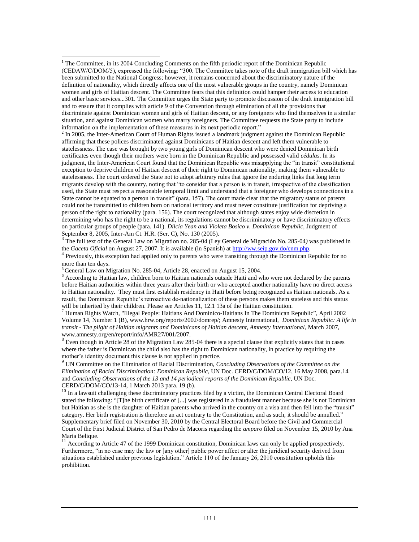$<sup>2</sup>$  In 2005, the Inter-American Court of Human Rights issued a landmark judgment against the Dominican Republic</sup> affirming that these polices discriminated against Dominicans of Haitian descent and left them vulnerable to statelessness. The case was brought by two young girls of Dominican descent who were denied Dominican birth certificates even though their mothers were born in the Dominican Republic and possessed valid *cédulas*. In its judgment, the Inter-American Court found that the Dominican Republic was misapplying the "in transit" constitutional exception to deprive children of Haitian descent of their right to Dominican nationality, making them vulnerable to statelessness. The court ordered the State not to adopt arbitrary rules that ignore the enduring links that long term migrants develop with the country, noting that "to consider that a person is in transit, irrespective of the classification used, the State must respect a reasonable temporal limit and understand that a foreigner who develops connections in a State cannot be equated to a person in transit" (para. 157). The court made clear that the migratory status of parents could not be transmitted to children born on national territory and must never constitute justification for depriving a person of the right to nationality (para. 156). The court recognized that although states enjoy wide discretion in determining who has the right to be a national, its regulations cannot be discriminatory or have discriminatory effects on particular groups of people (para. 141). *Dilcia Yean and Violeta Bosico v. Dominican Republic,* Judgment of September 8, 2005, Inter-Am Ct. H.R. (Ser. C), No. 130 (2005).

3 The full text of the General Law on Migration no. 285-04 (Ley General de Migración No. 285-04*)* was published in the *Gaceta Oficial* on August 27, 2007. It is available (in Spanish) a[t http://ww.seip.gov.do/cnm.php.](http://ww.seip.gov.do/cnm.php)

<sup>4</sup> Previously, this exception had applied only to parents who were transiting through the Dominican Republic for no more than ten days.

<sup>5</sup> General Law on Migration No. 285-04, Article 28, enacted on August 15, 2004.

 $\overline{a}$ 

<sup>6</sup> According to Haitian law, children born to Haitian nationals outside Haiti and who were not declared by the parents before Haitian authorities within three years after their birth or who accepted another nationality have no direct access to Haitian nationality. They must first establish residency in Haiti before being recognized as Haitian nationals. As a result, the Dominican Republic's retroactive de-nationalization of these persons makes them stateless and this status will be inherited by their children. Please see Articles 11, 12.1 13a of the Haitian constitution.

 $^7$  Human Rights Watch, "Illegal People: Haitians And Dominico-Haitians In The Dominican Republic", April 2002 Volume 14, Number 1 (B), www.hrw.org/reports/2002/domrep/; Amnesty International, *Dominican Republic: A life in transit - The plight of Haitian migrants and Dominicans of Haitian descent, Amnesty International*, March 2007, [www.amnesty.org/en/report/info/AMR27/001/2007.](file:///C:/Users/AppData/Local/AppData/Local/Microsoft/Local%20Settings/Local%20Settings/Temporary%20Internet%20Files/Local%20Settings/Temporary%20Internet%20Files/OLK9F/www.amnesty.org/en/report/info/AMR27/001/2007)

<sup>8</sup> Even though in Article 28 of the Migration Law 285-04 there is a special clause that explicitly states that in cases where the father is Dominican the child also has the right to Dominican nationality, in practice by requiring the mother's identity document this clause is not applied in practice.

<sup>9</sup> UN Committee on the Elimination of Racial Discrimination, *Concluding Observations of the Committee on the Elimination of Racial Discrimination: Dominican Republic*, UN Doc. CERD/C/DOM/CO/12, 16 May 2008, para.14 and *Concluding Observations of the 13 and 14 periodical reports of the Dominican Republic*, UN Doc. CERD/C/DOM/CO/13-14, 1 March 2013 para. 19 (b).

<sup>10</sup> In a lawsuit challenging these discriminatory practices filed by a victim, the Dominican Central Electoral Board stated the following: "[T]he birth certificate of [...] was registered in a fraudulent manner because she is not Dominican but Haitian as she is the daughter of Haitian parents who arrived in the country on a visa and then fell into the "transit" category. Her birth registration is therefore an act contrary to the Constitution, and as such, it should be annulled." Supplementary brief filed on November 30, 2010 by the Central Electoral Board before the Civil and Commercial Court of the First Judicial District of San Pedro de Macoris regarding the *amparo* filed on November 15, 2010 by Ana Maria Belique.

 $11$  According to Article 47 of the 1999 Dominican constitution, Dominican laws can only be applied prospectively. Furthermore, "in no case may the law or [any other] public power affect or alter the juridical security derived from situations established under previous legislation." Article 110 of the January 26, 2010 constitution upholds this prohibition.

 $1$  The Committee, in its 2004 Concluding Comments on the fifth periodic report of the Dominican Republic (CEDAW/C/DOM/5), expressed the following: "300. The Committee takes note of the draft immigration bill which has been submitted to the National Congress; however, it remains concerned about the discriminatory nature of the definition of nationality, which directly affects one of the most vulnerable groups in the country, namely Dominican women and girls of Haitian descent. The Committee fears that this definition could hamper their access to education and other basic services...301. The Committee urges the State party to promote discussion of the draft immigration bill and to ensure that it complies with article 9 of the Convention through elimination of all the provisions that discriminate against Dominican women and girls of Haitian descent, or any foreigners who find themselves in a similar situation, and against Dominican women who marry foreigners. The Committee requests the State party to include information on the implementation of these measures in its next periodic report."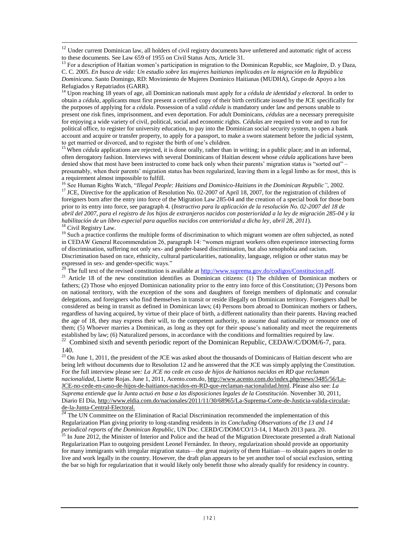<sup>12</sup> Under current Dominican law, all holders of civil registry documents have unfettered and automatic right of access to these documents. See Law 659 of 1955 on Civil Status Acts, Article 31.

 $13$  For a description of Haitian women's participation in migration to the Dominican Republic, see Magloire, D. y Daza, C. C. 2005. *En busca de vida: Un estudio sobre las mujeres haitianas implicadas en la migración en la República Dominicana*. Santo Domingo, RD: Movimiento de Mujeres Dominico Haitianas (MUDHA), Grupo de Apoyo a los Refugiados y Repatriados (GARR).

<sup>14</sup> Upon reaching 18 years of age, all Dominican nationals must apply for a *cédula de identidad y electoral*. In order to obtain a *cédula,* applicants must first present a certified copy of their birth certificate issued by the JCE specifically for the purposes of applying for a *cédula*. Possession of a valid *cédula* is mandatory under law and persons unable to present one risk fines, imprisonment, and even deportation. For adult Dominicans, *cédulas* are a necessary prerequisite for enjoying a wide variety of civil, political, social and economic rights. *Cédulas* are required to vote and to run for political office, to register for university education, to pay into the Dominican social security system, to open a bank account and acquire or transfer property, to apply for a passport, to make a sworn statement before the judicial system, to get married or divorced, and to register the birth of one's children.

<sup>15</sup> When *cédula* applications are rejected, it is done orally, rather than in writing; in a public place; and in an informal, often derogatory fashion. Interviews with several Dominicans of Haitian descent whose *cédula* applications have been denied show that most have been instructed to come back only when their parents' migration status is "sorted out" – presumably, when their parents' migration status has been regularized, leaving them in a legal limbo as for most, this is a requirement almost impossible to fulfill.

<sup>16</sup> See Human Rights Watch, "*Illegal People: Haitians and Dominico-Haitians in the Dominican Republic"*, 2002.

<sup>17</sup> JCE, Directive for the application of Resolution No. 02-2007 of April 18, 2007, for the registration of children of foreigners born after the entry into force of the Migration Law 285-04 and the creation of a special book for those born prior to its entry into force, see paragraph 4. (*Instructivo para la aplicación de la resolución No. 02-2007 del 18 de abril del 2007, para el registro de los hijos de extranjeros nacidos con posterioridad a la ley de migración 285-04 y la habilitación de un libro especial para aquellos nacidos con anterioridad a dicha ley*, *abril 28, 2011*). <sup>18</sup> Civil Registry Law.

 $\overline{a}$ 

<sup>19</sup> Such a practice confirms the multiple forms of discrimination to which migrant women are often subjected, as noted in CEDAW General Recommendation 26, paragraph 14: "women migrant workers often experience intersecting forms of discrimination, suffering not only sex- and gender-based discrimination, but also xenophobia and racism. Discrimination based on race, ethnicity, cultural particularities, nationality, language, religion or other status may be expressed in sex- and gender-specific ways."

<sup>20</sup> The full text of the revised constitution is available a[t http://www.suprema.gov.do/codigos/Constitucion.pdf.](http://www.suprema.gov.do/codigos/Constitucion.pdf)

<sup>21</sup> Article 18 of the new constitution identifies as Dominican citizens: (1) The children of Dominican mothers or fathers; (2) Those who enjoyed Dominican nationality prior to the entry into force of this Constitution; (3) Persons born on national territory, with the exception of the sons and daughters of foreign members of diplomatic and consular delegations, and foreigners who find themselves in transit or reside illegally on Dominican territory. Foreigners shall be considered as being in transit as defined in Dominican laws; (4) Persons born abroad to Dominican mothers or fathers, regardless of having acquired, by virtue of their place of birth, a different nationality than their parents. Having reached the age of 18, they may express their will, to the competent authority, to assume dual nationality or renounce one of them; (5) Whoever marries a Dominican, as long as they opt for their spouse's nationality and meet the requirements established by law; (6) Naturalized persons, in accordance with the conditions and formalities required by law.<br><sup>22</sup> Combined sixth and seventh periodic report of the Dominican Republic, CEDAW/C/DOM/6-7, para.

140.

<sup>23</sup> On June 1, 2011, the president of the JCE was asked about the thousands of Dominicans of Haitian descent who are being left without documents due to Resolution 12 and he answered that the JCE was simply applying the Constitution. For the full interview please see*: La JCE no cede en caso de hijos de haitianos nacidos en RD que reclaman nacionalidad*, Lisette Rojas. June 1, 2011, Acento.com.do[, http://www.acento.com.do/index.php/news/3485/56/La-](http://www.acento.com.do/index.php/news/3485/56/La-JCE-no-cede-en-caso-de-hijos-de-haitianos-nacidos-en-RD-que-reclaman-nacionalidad.html)[JCE-no-cede-en-caso-de-hijos-de-haitianos-nacidos-en-RD-que-reclaman-nacionalidad.html.](http://www.acento.com.do/index.php/news/3485/56/La-JCE-no-cede-en-caso-de-hijos-de-haitianos-nacidos-en-RD-que-reclaman-nacionalidad.html) Please also see: *La Suprema entiende que la Junta actuó en base a las disposiciones legales de la Constitución*. November 30, 2011, Diario El Día, [http://www.eldia.com.do/nacionales/2011/11/30/68965/La-Suprema-Corte-de-Justicia-valida-circular](http://www.eldia.com.do/nacionales/2011/11/30/68965/La-Suprema-Corte-de-Justicia-valida-circular-de-la-Junta-Central-Electoral)[de-la-Junta-Central-Electoral.](http://www.eldia.com.do/nacionales/2011/11/30/68965/La-Suprema-Corte-de-Justicia-valida-circular-de-la-Junta-Central-Electoral)

 $^{24}$  The UN Committee on the Elimination of Racial Discrimination recommended the implementation of this Regularization Plan giving priority to long-standing residents in its *Concluding Observations of the 13 and 14 periodical reports of the Dominican Republic*, UN Doc. CERD/C/DOM/CO/13-14, 1 March 2013 para. 20.

<sup>25</sup> In June 2012, the Minister of Interior and Police and the head of the Migration Directorate presented a draft National Regularization Plan to outgoing president Leonel Fernández. In theory, regularization should provide an opportunity for many immigrants with irregular migration status—the great majority of them Haitian—to obtain papers in order to live and work legally in the country. However, the draft plan appears to be yet another tool of social exclusion, setting the bar so high for regularization that it would likely only benefit those who already qualify for residency in country.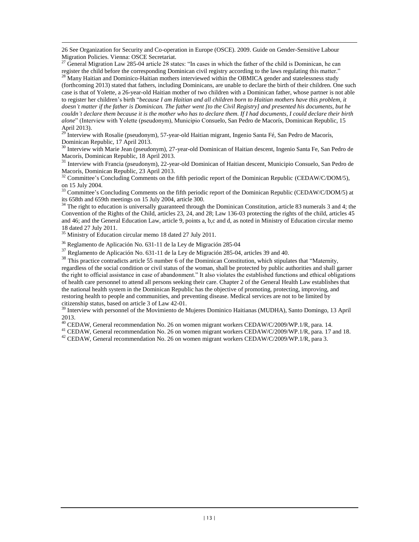26 See Organization for Security and Co-operation in Europe (OSCE). 2009. Guide on Gender-Sensitive Labour Migration Policies. Vienna: OSCE Secretariat.

 $27$  General Migration Law 285-04 article 28 states: "In cases in which the father of the child is Dominican, he can register the child before the corresponding Dominican civil registry according to the laws regulating this matter."<br><sup>28</sup> Many Heitien and Daminican in Heitien in the laws regulating this matter."

<sup>28</sup> Many Haitian and Dominico-Haitian mothers interviewed within the OBMICA gender and statelessness study (forthcoming 2013) stated that fathers, including Dominicans, are unable to declare the birth of their children. One such case is that of Yolette, a 26-year-old Haitian mother of two children with a Dominican father, whose partner is not able to register her children's birth "*because I am Haitian and all children born to Haitian mothers have this problem, it doesn't matter if the father is Dominican. The father went [to the Civil Registry] and presented his documents, but he couldn't declare them because it is the mother who has to declare them. If I had documents, I could declare their birth alone*" (Interview with Yolette (pseudonym), Municipio Consuelo, San Pedro de Macorís, Dominican Republic, 15 April 2013).

<sup>29</sup> Interview with Rosalie (pseudonym), 57-year-old Haitian migrant, Ingenio Santa Fé, San Pedro de Macorís, Dominican Republic, 17 April 2013.

<sup>30</sup> Interview with Marie Jean (pseudonym), 27-year-old Dominican of Haitian descent, Ingenio Santa Fe, San Pedro de Macorís, Dominican Republic, 18 April 2013.

<sup>31</sup> Interview with Francia (pseudonym), 22-year-old Dominican of Haitian descent, Municipio Consuelo, San Pedro de Macorís, Dominican Republic, 23 April 2013.

 $32$  Committee's Concluding Comments on the fifth periodic report of the Dominican Republic (CEDAW/C/DOM/5), on 15 July 2004.

<sup>33</sup> Committee's Concluding Comments on the fifth periodic report of the Dominican Republic (CEDAW/C/DOM/5) at its 658th and 659th meetings on 15 July 2004, article 300.

 $34$  The right to education is universally guaranteed through the Dominican Constitution, article 83 numerals 3 and 4; the Convention of the Rights of the Child, articles 23, 24, and 28; Law 136-03 protecting the rights of the child, articles 45 and 46; and the General Education Law, article 9, points a, b,c and d, as noted in Ministry of Education circular memo 18 dated 27 July 2011.

<sup>35</sup> Ministry of Education circular memo 18 dated 27 July 2011.

 $\overline{a}$ 

<sup>36</sup> Reglamento de Aplicación No. 631-11 de la Ley de Migración 285-04

<sup>37</sup> Reglamento de Aplicación No. 631-11 de la Ley de Migración 285-04, articles 39 and 40.

<sup>38</sup> This practice contradicts article 55 number 6 of the Dominican Constitution, which stipulates that "Maternity, regardless of the social condition or civil status of the woman, shall be protected by public authorities and shall garner the right to official assistance in case of abandonment." It also violates the established functions and ethical obligations of health care personnel to attend all persons seeking their care. Chapter 2 of the General Health Law establishes that the national health system in the Dominican Republic has the objective of promoting, protecting, improving, and restoring health to people and communities, and preventing disease. Medical services are not to be limited by citizenship status, based on article 3 of Law 42-01.

<sup>39</sup> Interview with personnel of the Movimiento de Mujeres Dominico Haitianas (MUDHA), Santo Domingo, 13 April 2013.

<sup>40</sup> CEDAW, General recommendation No. 26 on women migrant workers CEDAW/C/2009/WP.1/R, para. 14.

<sup>41</sup> CEDAW, General recommendation No. 26 on women migrant workers CEDAW/C/2009/WP.1/R, para. 17 and 18.

<sup>42</sup> CEDAW, General recommendation No. 26 on women migrant workers CEDAW/C/2009/WP.1/R, para 3.